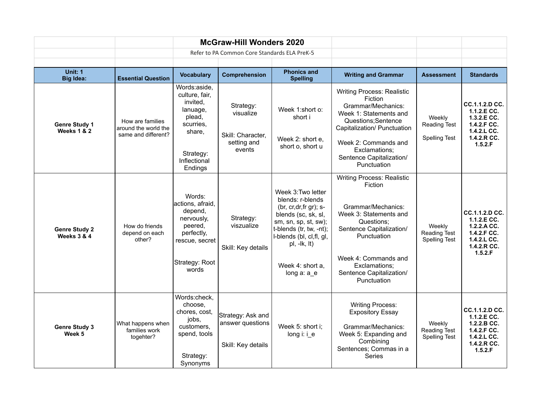| <b>McGraw-Hill Wonders 2020</b>                |                                                                 |                                                                                                                                 |                                                                      |                                                                                                                                                                                                                                          |                                                                                                                                                                                                                                           |                                                       |                                                                                                            |
|------------------------------------------------|-----------------------------------------------------------------|---------------------------------------------------------------------------------------------------------------------------------|----------------------------------------------------------------------|------------------------------------------------------------------------------------------------------------------------------------------------------------------------------------------------------------------------------------------|-------------------------------------------------------------------------------------------------------------------------------------------------------------------------------------------------------------------------------------------|-------------------------------------------------------|------------------------------------------------------------------------------------------------------------|
|                                                |                                                                 |                                                                                                                                 | Refer to PA Common Core Standards ELA PreK-5                         |                                                                                                                                                                                                                                          |                                                                                                                                                                                                                                           |                                                       |                                                                                                            |
| Unit: 1                                        |                                                                 |                                                                                                                                 |                                                                      | <b>Phonics and</b>                                                                                                                                                                                                                       |                                                                                                                                                                                                                                           |                                                       |                                                                                                            |
| <b>Big Idea:</b>                               | <b>Essential Question</b>                                       | <b>Vocabulary</b>                                                                                                               | Comprehension                                                        | <b>Spelling</b>                                                                                                                                                                                                                          | <b>Writing and Grammar</b>                                                                                                                                                                                                                | <b>Assessment</b>                                     | <b>Standards</b>                                                                                           |
| <b>Genre Study 1</b><br><b>Weeks 1 &amp; 2</b> | How are families<br>around the world the<br>same and different? | Words:aside,<br>culture, fair,<br>invited,<br>lanuage,<br>plead,<br>scurries,<br>share,<br>Strategy:<br>Inflectional<br>Endings | Strategy:<br>visualize<br>Skill: Character,<br>setting and<br>events | Week 1:short o:<br>short i<br>Week 2: short e,<br>short o, short u                                                                                                                                                                       | <b>Writing Process: Realistic</b><br>Fiction<br>Grammar/Mechanics:<br>Week 1: Statements and<br>Questions; Sentence<br>Capitalization/ Punctuation<br>Week 2: Commands and<br>Exclamations;<br>Sentence Capitalization/<br>Punctuation    | Weekly<br><b>Reading Test</b><br><b>Spelling Test</b> | CC.1.1.2.D CC.<br>1.1.2.E CC.<br>$1.3.2.E$ CC.<br>1.4.2.F CC.<br>$1.4.2.L$ CC.<br>1.4.2.R CC.<br>1.5.2.F   |
| <b>Genre Study 2</b><br>Weeks 3 & 4            | How do friends<br>depend on each<br>other?                      | Words:<br>actions, afraid,<br>depend,<br>nervously,<br>peered,<br>perfectly,<br>rescue, secret<br>Strategy: Root<br>words       | Strategy:<br>viszualize<br>Skill: Key details                        | Week 3: Two letter<br>blends: r-blends<br>(br, $cr, dr, fr, gr$ ); s-<br>blends (sc, sk, sl,<br>sm, sn, sp, st, sw);<br>t-blends (tr, tw, -nt);<br>I-blends (bl, cl, fl, gl,<br>$pl, -lk, lt)$<br>Week 4: short a.<br>long $a: a \neq b$ | <b>Writing Process: Realistic</b><br>Fiction<br>Grammar/Mechanics:<br>Week 3: Statements and<br>Questions:<br>Sentence Capitalization/<br>Punctuation<br>Week 4: Commands and<br>Exclamations;<br>Sentence Capitalization/<br>Punctuation | Weekly<br>Reading Test<br><b>Spelling Test</b>        | CC.1.1.2.D CC.<br>1.1.2.E CC.<br>1.2.2.A CC.<br>1.4.2.F CC.<br>$1.4.2.L$ CC.<br>$1.4.2.R$ CC.<br>1.5.2.F   |
| <b>Genre Study 3</b><br>Week 5                 | What happens when<br>families work<br>togehter?                 | Words:check,<br>choose.<br>chores, cost,<br>jobs,<br>customers.<br>spend, tools<br>Strategy:<br>Synonyms                        | Strategy: Ask and<br>answer questions<br>Skill: Key details          | Week 5: short i;<br>long $i$ : $i$ e                                                                                                                                                                                                     | <b>Writing Process:</b><br><b>Expository Essay</b><br>Grammar/Mechanics:<br>Week 5: Expanding and<br>Combining<br>Sentences; Commas in a<br>Series                                                                                        | Weekly<br>Reading Test<br><b>Spelling Test</b>        | CC.1.1.2.D CC.<br>$1.1.2.E$ CC.<br>$1.2.2.B$ CC.<br>1.4.2.F CC.<br>$1.4.2.L$ CC.<br>1.4.2.R CC.<br>1.5.2.F |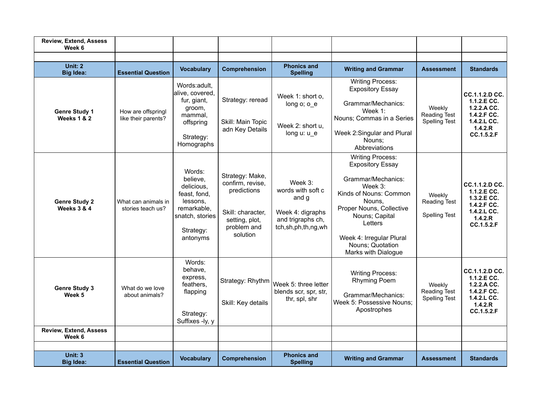| <b>Review, Extend, Assess</b><br>Week 6        |                                           |                                                                                                                         |                                                                                                                      |                                                                                                         |                                                                                                                                                                                                                                                            |                                                       |                                                                                                       |
|------------------------------------------------|-------------------------------------------|-------------------------------------------------------------------------------------------------------------------------|----------------------------------------------------------------------------------------------------------------------|---------------------------------------------------------------------------------------------------------|------------------------------------------------------------------------------------------------------------------------------------------------------------------------------------------------------------------------------------------------------------|-------------------------------------------------------|-------------------------------------------------------------------------------------------------------|
|                                                |                                           |                                                                                                                         |                                                                                                                      |                                                                                                         |                                                                                                                                                                                                                                                            |                                                       |                                                                                                       |
| Unit: 2<br><b>Big Idea:</b>                    | <b>Essential Question</b>                 | <b>Vocabulary</b>                                                                                                       | Comprehension                                                                                                        | <b>Phonics and</b><br><b>Spelling</b>                                                                   | <b>Writing and Grammar</b>                                                                                                                                                                                                                                 | <b>Assessment</b>                                     | <b>Standards</b>                                                                                      |
| <b>Genre Study 1</b><br><b>Weeks 1 &amp; 2</b> | How are offspringl<br>like their parents? | Words:adult.<br>alive, covered,<br>fur, giant,<br>groom,<br>mammal,<br>offspring<br>Strategy:<br>Homographs             | Strategy: reread<br>Skill: Main Topic<br>adn Key Details                                                             | Week 1: short o,<br>long $o$ ; $o$ $e$<br>Week 2: short u,<br>long u: u e                               | <b>Writing Process:</b><br><b>Expository Essay</b><br>Grammar/Mechanics:<br>Week $1$ :<br>Nouns; Commas in a Series<br>Week 2:Singular and Plural<br>Nouns:<br>Abbreviations                                                                               | Weekly<br>Reading Test<br>Spelling Test               | CC.1.1.2.D CC.<br>1.1.2 E CC.<br>$1.2.2.A$ CC.<br>1.4.2.F CC.<br>1.4.2.L CC.<br>1.4.2.R<br>CC.1.5.2.F |
| <b>Genre Study 2</b><br>Weeks 3 & 4            | What can animals in<br>stories teach us?  | Words:<br>believe.<br>delicious.<br>feast, fond,<br>lessons.<br>remarkable,<br>snatch, stories<br>Strategy:<br>antonyms | Strategy: Make,<br>confirm, revise,<br>predictions<br>Skill: character,<br>setting, plot,<br>problem and<br>solution | Week $3$ :<br>words with soft c<br>and g<br>Week 4: digraphs<br>and trigraphs ch,<br>tch,sh,ph,th,ng,wh | <b>Writing Process:</b><br><b>Expository Essay</b><br>Grammar/Mechanics:<br>Week $3$ :<br>Kinds of Nouns: Common<br>Nouns.<br>Proper Nouns, Collective<br>Nouns; Capital<br>Letters<br>Week 4: Irregular Plural<br>Nouns; Quotation<br>Marks with Dialogue | Weekly<br>Reading Test<br><b>Spelling Test</b>        | CC.1.1.2.D CC.<br>$1.1.2.E$ CC.<br>1.3.2.E CC.<br>1.4.2.F CC.<br>1.4.2.L CC.<br>1.4.2.R<br>CC.1.5.2.F |
| <b>Genre Study 3</b><br>Week 5                 | What do we love<br>about animals?         | Words:<br>behave.<br>express,<br>feathers.<br>flapping<br>Strategy:<br>Suffixes -ly, y                                  | Strategy: Rhythm<br>Skill: Key details                                                                               | Week 5: three letter<br>blends scr, spr, str,<br>thr, spl, shr                                          | <b>Writing Process:</b><br><b>Rhyming Poem</b><br>Grammar/Mechanics:<br>Week 5: Possessive Nouns;<br>Apostrophes                                                                                                                                           | Weekly<br><b>Reading Test</b><br><b>Spelling Test</b> | CC.1.1.2.D CC.<br>1.1.2.E CC.<br>1.2.2.A CC.<br>1.4.2.F CC.<br>1.4.2.L CC.<br>1.4.2.R<br>CC.1.5.2.F   |
| <b>Review, Extend, Assess</b><br>Week 6        |                                           |                                                                                                                         |                                                                                                                      |                                                                                                         |                                                                                                                                                                                                                                                            |                                                       |                                                                                                       |
|                                                |                                           |                                                                                                                         |                                                                                                                      |                                                                                                         |                                                                                                                                                                                                                                                            |                                                       |                                                                                                       |
| <b>Unit: 3</b><br><b>Big Idea:</b>             | <b>Essential Question</b>                 | <b>Vocabulary</b>                                                                                                       | Comprehension                                                                                                        | <b>Phonics and</b><br><b>Spelling</b>                                                                   | <b>Writing and Grammar</b>                                                                                                                                                                                                                                 | <b>Assessment</b>                                     | <b>Standards</b>                                                                                      |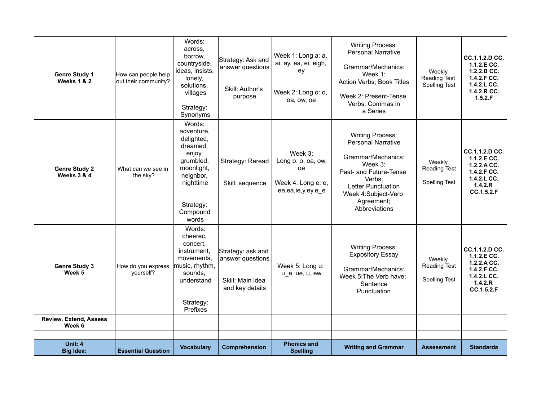| Unit: 4<br><b>Big Idea:</b>                    | <b>Essential Question</b>                   | <b>Vocabulary</b>                                                                                                                               | Comprehension                                                                | <b>Phonics and</b><br><b>Spelling</b>                                                 | <b>Writing and Grammar</b>                                                                                                                                                                            | <b>Assessment</b>                                     | <b>Standards</b>                                                                                       |
|------------------------------------------------|---------------------------------------------|-------------------------------------------------------------------------------------------------------------------------------------------------|------------------------------------------------------------------------------|---------------------------------------------------------------------------------------|-------------------------------------------------------------------------------------------------------------------------------------------------------------------------------------------------------|-------------------------------------------------------|--------------------------------------------------------------------------------------------------------|
| Week 6                                         |                                             |                                                                                                                                                 |                                                                              |                                                                                       |                                                                                                                                                                                                       |                                                       |                                                                                                        |
| <b>Review, Extend, Assess</b>                  |                                             | Strategy:<br>Prefixes                                                                                                                           |                                                                              |                                                                                       |                                                                                                                                                                                                       |                                                       |                                                                                                        |
| <b>Genre Study 3</b><br>Week 5                 | How do you express<br>yourself?             | Words:<br>cheerec,<br>concert.<br>instrument.<br>movements.<br>music, rhythm,<br>sounds,<br>understand                                          | Strategy: ask and<br>answer questions<br>Skill: Main idea<br>and key details | Week 5: Long u:<br>u_e, ue, u, ew                                                     | <b>Writing Process:</b><br><b>Expository Essay</b><br>Grammar/Mechanics:<br>Week 5: The Verb have;<br>Sentence<br>Punctuation                                                                         | Weekly<br>Reading Test<br><b>Spelling Test</b>        | CC.1.1.2.D CC.<br>1.1.2.E CC.<br>1.2.2.A CC.<br>1.4.2.F CC.<br>$1.4.2.L$ CC.<br>1.4.2.R<br>CC.1.5.2.F  |
| <b>Genre Study 2</b><br><b>Weeks 3 &amp; 4</b> | What can we see in<br>the sky?              | Words:<br>adventure.<br>delighted,<br>dreamed,<br>enjoy,<br>grumbled,<br>moonlight,<br>neighbor,<br>nighttime<br>Strategy:<br>Compound<br>words | Strategy: Reread<br>Skill: sequence                                          | Week 3:<br>Long o: o, oa, ow,<br><b>oe</b><br>Week 4: Long e: e,<br>ee,ea,ie,y,ey,e_e | <b>Writing Process:</b><br><b>Personal Narrative</b><br>Grammar/Mechanics:<br>Week 3:<br>Past- and Future-Tense<br>Verbs;<br>Letter Punctuation<br>Week 4:Subject-Verb<br>Agreement;<br>Abbreviations | Weekly<br>Reading Test<br><b>Spelling Test</b>        | CC.1.1.2.D CC.<br>1.1.2.E CC.<br>1.2.2.A CC.<br>1.4.2.F CC.<br>$1.4.2.L$ CC.<br>1.4.2.R<br>CC.1.5.2.F  |
| <b>Genre Study 1</b><br>Weeks 1 & 2            | How can people help<br>out their community? | Words:<br>across.<br>borrow,<br>countryside,<br>ideas, insists,<br>lonely,<br>solutions,<br>villages<br>Strategy:<br>Synonyms                   | Strategy: Ask and<br>answer questions<br>Skill: Author's<br>purpose          | Week 1: Long a: a,<br>ai, ay, ea, ei, eigh,<br>ey<br>Week 2: Long o: o,<br>oa, ow, oe | <b>Writing Process:</b><br><b>Personal Narrative</b><br>Grammar/Mechanics:<br>Week 1:<br>Action Verbs; Book Titles<br>Week 2: Present-Tense<br>Verbs; Commas in<br>a Series                           | Weekly<br><b>Reading Test</b><br><b>Spelling Test</b> | CC.1.1.2.D CC.<br>1.1.2 E CC.<br>1.2.2.B CC.<br>1.4.2.F CC.<br>$1.4.2.L$ CC.<br>1.4.2.R CC.<br>1.5.2.F |
|                                                |                                             |                                                                                                                                                 |                                                                              |                                                                                       |                                                                                                                                                                                                       |                                                       |                                                                                                        |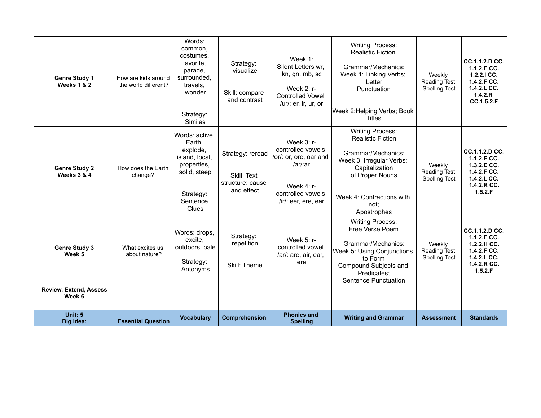| <b>Genre Study 1</b><br>Weeks 1 & 2            | How are kids around<br>the world different? | Words:<br>common,<br>costumes.<br>favorite.<br>parade,<br>surrounded,<br>travels,<br>wonder<br>Strategy:<br><b>Similes</b>     | Strategy:<br>visualize<br>Skill: compare<br>and contrast          | Week 1:<br>Silent Letters wr,<br>kn, gn, mb, sc<br>Week 2: r-<br><b>Controlled Vowel</b><br>/ur/: er, ir, ur, or                  | <b>Writing Process:</b><br><b>Realistic Fiction</b><br>Grammar/Mechanics:<br>Week 1: Linking Verbs;<br>Letter<br>Punctuation<br>Week 2: Helping Verbs; Book<br><b>Titles</b>                   | Weekly<br>Reading Test<br><b>Spelling Test</b>        | <b>CC.1.1.2.D CC.</b><br>1.1.2 E CC.<br>$1.2.2.1$ CC.<br>1.4.2.F CC.<br>1.4.2.L CC.<br>1.4.2.R<br>CC.1.5.2.F |
|------------------------------------------------|---------------------------------------------|--------------------------------------------------------------------------------------------------------------------------------|-------------------------------------------------------------------|-----------------------------------------------------------------------------------------------------------------------------------|------------------------------------------------------------------------------------------------------------------------------------------------------------------------------------------------|-------------------------------------------------------|--------------------------------------------------------------------------------------------------------------|
| <b>Genre Study 2</b><br><b>Weeks 3 &amp; 4</b> | How does the Earth<br>change?               | Words: active,<br>Earth,<br>explode,<br>island, local,<br>properties.<br>solid, steep<br>Strategy:<br>Sentence<br><b>Clues</b> | Strategy: reread<br>Skill: Text<br>structure: cause<br>and effect | Week $3: r-$<br>controlled vowels<br>/or/: or, ore, oar and<br>/ar/ar<br>Week $4: r-$<br>controlled vowels<br>/ir/: eer, ere, ear | <b>Writing Process:</b><br><b>Realistic Fiction</b><br>Grammar/Mechanics:<br>Week 3: Irregular Verbs;<br>Capitalization<br>of Proper Nouns<br>Week 4: Contractions with<br>not:<br>Apostrophes | Weekly<br><b>Reading Test</b><br><b>Spelling Test</b> | CC.1.1.2.D CC.<br>1.1.2.E CC.<br>1.3.2.E CC.<br>1.4.2.F CC.<br>1.4.2.L CC.<br>1.4.2.R CC.<br>1.5.2.F         |
| <b>Genre Study 3</b><br>Week 5                 | What excites us<br>about nature?            | Words: drops,<br>excite,<br>outdoors, pale<br>Strategy:<br>Antonyms                                                            | Strategy:<br>repetition<br>Skill: Theme                           | Week $5: r-$<br>controlled vowel<br>/ar/: are, air, ear,<br>ere                                                                   | <b>Writing Process:</b><br>Free Verse Poem<br>Grammar/Mechanics:<br>Week 5: Using Conjunctions<br>to Form<br>Compound Subjects and<br>Predicates:<br>Sentence Punctuation                      | Weekly<br><b>Reading Test</b><br><b>Spelling Test</b> | CC.1.1.2.D CC.<br>1.1.2.E CC.<br>1.2.2.H CC.<br>1.4.2.F CC.<br>1.4.2.L CC.<br>1.4.2.R CC.<br>1.5.2.F         |
| <b>Review, Extend, Assess</b><br>Week 6        |                                             |                                                                                                                                |                                                                   |                                                                                                                                   |                                                                                                                                                                                                |                                                       |                                                                                                              |
|                                                |                                             |                                                                                                                                |                                                                   |                                                                                                                                   |                                                                                                                                                                                                |                                                       |                                                                                                              |
| Unit: 5<br><b>Big Idea:</b>                    | <b>Essential Question</b>                   | <b>Vocabulary</b>                                                                                                              | Comprehension                                                     | <b>Phonics and</b><br><b>Spelling</b>                                                                                             | <b>Writing and Grammar</b>                                                                                                                                                                     | <b>Assessment</b>                                     | <b>Standards</b>                                                                                             |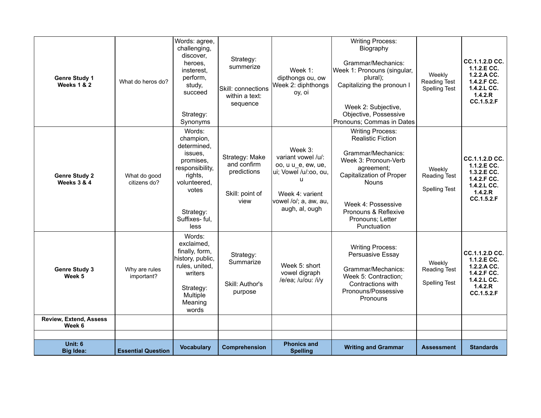| <b>Genre Study 1</b><br><b>Weeks 1 &amp; 2</b> | What do heros do?            | Words: agree,<br>challenging,<br>discover,<br>heroes.<br>insterest,<br>perform,<br>study,<br>succeed<br>Strategy:<br>Synonyms                            | Strategy:<br>summerize<br>Skill: connections<br>within a text:<br>sequence | Week $1$ :<br>dipthongs ou, ow<br>Week 2: diphthongs<br>oy, oi                                                                                  | <b>Writing Process:</b><br>Biography<br>Grammar/Mechanics:<br>Week 1: Pronouns (singular,<br>plural);<br>Capitalizing the pronoun I<br>Week 2: Subjective,<br>Objective, Possessive<br>Pronouns; Commas in Dates                             | Weekly<br><b>Reading Test</b><br><b>Spelling Test</b> | CC.1.1.2.D CC.<br>1.1.2.E CC.<br>1.2.2.A CC.<br>1.4.2.F CC.<br>$1.4.2.L$ CC.<br>1.4.2.R<br>CC.1.5.2.F |
|------------------------------------------------|------------------------------|----------------------------------------------------------------------------------------------------------------------------------------------------------|----------------------------------------------------------------------------|-------------------------------------------------------------------------------------------------------------------------------------------------|----------------------------------------------------------------------------------------------------------------------------------------------------------------------------------------------------------------------------------------------|-------------------------------------------------------|-------------------------------------------------------------------------------------------------------|
| <b>Genre Study 2</b><br><b>Weeks 3 &amp; 4</b> | What do good<br>citizens do? | Words:<br>champion,<br>determined,<br>issues.<br>promises.<br>responsibility,<br>rights,<br>volunteered.<br>votes<br>Strategy:<br>Suffixes- ful,<br>less | Strategy: Make<br>and confirm<br>predictions<br>Skill: point of<br>view    | Week 3:<br>variant vowel /u/:<br>oo, u u_e, ew, ue,<br>ui; Vowel /u/:oo, ou,<br>u<br>Week 4: varient<br>vowel /o/; a, aw, au,<br>augh, al, ough | <b>Writing Process:</b><br><b>Realistic Fiction</b><br>Grammar/Mechanics:<br>Week 3: Pronoun-Verb<br>agreement:<br>Capitalization of Proper<br><b>Nouns</b><br>Week 4: Possessive<br>Pronouns & Reflexive<br>Pronouns; Letter<br>Punctuation | Weekly<br><b>Reading Test</b><br><b>Spelling Test</b> | CC.1.1.2.D CC.<br>1.1.2.E CC.<br>1.3.2.E CC.<br>1.4.2.F CC.<br>$1.4.2.L$ CC.<br>1.4.2.R<br>CC.1.5.2.F |
| <b>Genre Study 3</b><br>Week 5                 | Why are rules<br>important?  | Words:<br>exclaimed.<br>finally, form,<br>history, public,<br>rules, united,<br>writers<br>Strategy:<br>Multiple<br>Meaning<br>words                     | Strategy:<br>Summarize<br>Skill: Author's<br>purpose                       | Week 5: short<br>vowel digraph<br>/e/ea; /u/ou: /i/y                                                                                            | <b>Writing Process:</b><br>Persuasive Essay<br>Grammar/Mechanics:<br>Week 5: Contraction;<br>Contractions with<br>Pronouns/Possessive<br>Pronouns                                                                                            | Weekly<br>Reading Test<br><b>Spelling Test</b>        | CC.1.1.2.D CC.<br>1.1.2.E CC.<br>1.2.2.A CC.<br>1.4.2.F CC.<br>$1.4.2.L$ CC.<br>1.4.2.R<br>CC.1.5.2.F |
| <b>Review, Extend, Assess</b><br>Week 6        |                              |                                                                                                                                                          |                                                                            |                                                                                                                                                 |                                                                                                                                                                                                                                              |                                                       |                                                                                                       |
| Unit: 6                                        |                              |                                                                                                                                                          |                                                                            | <b>Phonics and</b>                                                                                                                              |                                                                                                                                                                                                                                              |                                                       |                                                                                                       |
| <b>Big Idea:</b>                               | <b>Essential Question</b>    | <b>Vocabulary</b>                                                                                                                                        | Comprehension                                                              | <b>Spelling</b>                                                                                                                                 | <b>Writing and Grammar</b>                                                                                                                                                                                                                   | <b>Assessment</b>                                     | <b>Standards</b>                                                                                      |